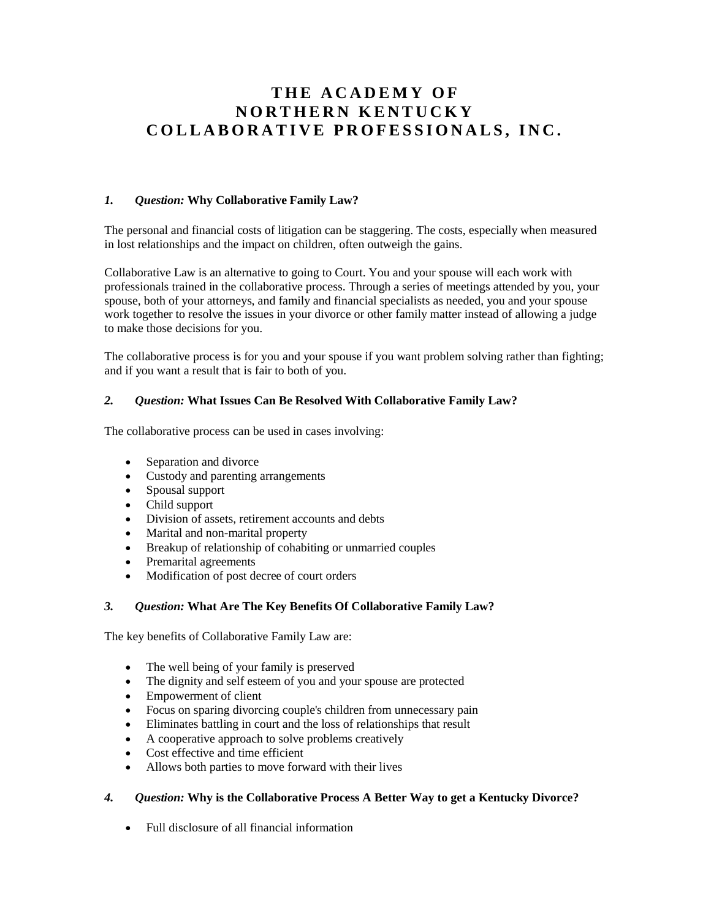# **T H E A C A D E M Y O F N O R T H E R N K E N T U C K Y** COLLABORATIVE PROFESSIONALS, INC.

#### *1. Question:* **Why Collaborative Family Law?**

The personal and financial costs of litigation can be staggering. The costs, especially when measured in lost relationships and the impact on children, often outweigh the gains.

Collaborative Law is an alternative to going to Court. You and your spouse will each work with professionals trained in the collaborative process. Through a series of meetings attended by you, your spouse, both of your attorneys, and family and financial specialists as needed, you and your spouse work together to resolve the issues in your divorce or other family matter instead of allowing a judge to make those decisions for you.

The collaborative process is for you and your spouse if you want problem solving rather than fighting; and if you want a result that is fair to both of you.

#### *2. Question:* **What Issues Can Be Resolved With Collaborative Family Law?**

The collaborative process can be used in cases involving:

- Separation and divorce
- Custody and parenting arrangements
- Spousal support
- Child support
- Division of assets, retirement accounts and debts
- Marital and non-marital property
- Breakup of relationship of cohabiting or unmarried couples
- Premarital agreements
- Modification of post decree of court orders

## *3. Question:* **What Are The Key Benefits Of Collaborative Family Law?**

The key benefits of Collaborative Family Law are:

- The well being of your family is preserved
- The dignity and self esteem of you and your spouse are protected
- Empowerment of client
- Focus on sparing divorcing couple's children from unnecessary pain
- Eliminates battling in court and the loss of relationships that result
- A cooperative approach to solve problems creatively
- Cost effective and time efficient
- Allows both parties to move forward with their lives

## *4. Question:* **Why is the Collaborative Process A Better Way to get a Kentucky Divorce?**

Full disclosure of all financial information